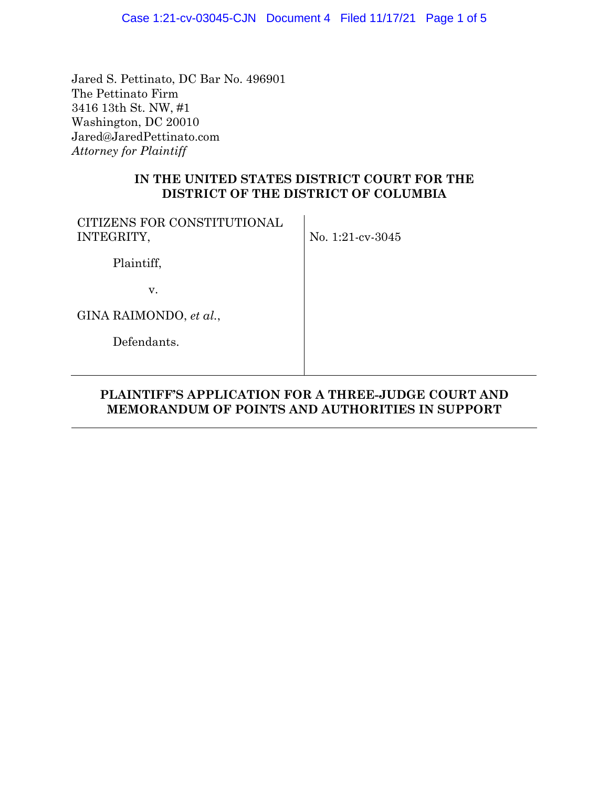Jared S. Pettinato, DC Bar No. 496901 The Pettinato Firm 3416 13th St. NW, #1 Washington, DC 20010 Jared@JaredPettinato.com *Attorney for Plaintiff* 

## **IN THE UNITED STATES DISTRICT COURT FOR THE DISTRICT OF THE DISTRICT OF COLUMBIA**

| CITIZENS FOR CONSTITUTIONAL<br>INTEGRITY, | No. 1:21-cv-3045 |
|-------------------------------------------|------------------|
| Plaintiff,                                |                  |
| V.                                        |                  |
| GINA RAIMONDO, et al.,                    |                  |
| Defendants.                               |                  |
|                                           |                  |

## **PLAINTIFF'S APPLICATION FOR A THREE-JUDGE COURT AND MEMORANDUM OF POINTS AND AUTHORITIES IN SUPPORT**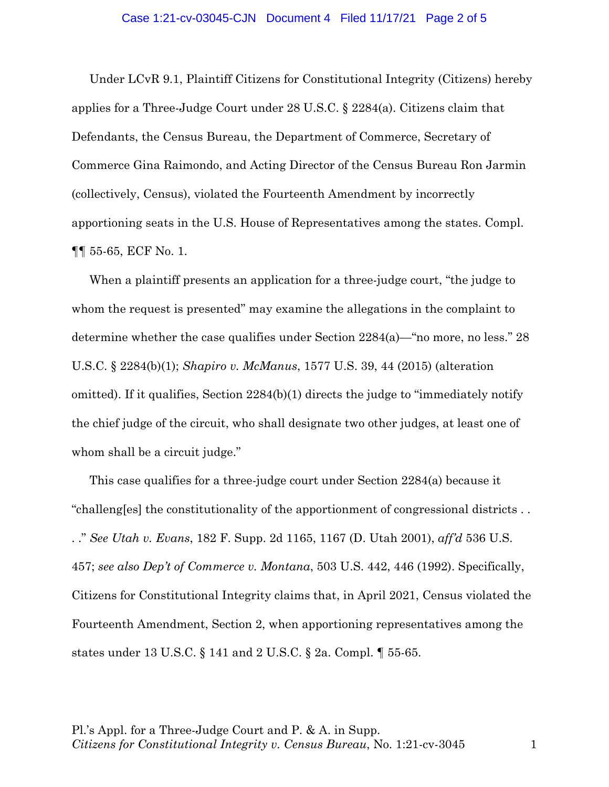## Case 1:21-cv-03045-CJN Document 4 Filed 11/17/21 Page 2 of 5

Under LCvR 9.1, Plaintiff Citizens for Constitutional Integrity (Citizens) hereby applies for a Three-Judge Court under 28 U.S.C. § 2284(a). Citizens claim that Defendants, the Census Bureau, the Department of Commerce, Secretary of Commerce Gina Raimondo, and Acting Director of the Census Bureau Ron Jarmin (collectively, Census), violated the Fourteenth Amendment by incorrectly apportioning seats in the U.S. House of Representatives among the states. Compl. ¶¶ 55-65, ECF No. 1.

When a plaintiff presents an application for a three-judge court, "the judge to whom the request is presented" may examine the allegations in the complaint to determine whether the case qualifies under Section 2284(a)—"no more, no less." 28 U.S.C. § 2284(b)(1); *Shapiro v. McManus*, 1577 U.S. 39, 44 (2015) (alteration omitted). If it qualifies, Section 2284(b)(1) directs the judge to "immediately notify the chief judge of the circuit, who shall designate two other judges, at least one of whom shall be a circuit judge."

This case qualifies for a three-judge court under Section 2284(a) because it "challeng[es] the constitutionality of the apportionment of congressional districts . . . ." *See Utah v. Evans*, 182 F. Supp. 2d 1165, 1167 (D. Utah 2001), *aff'd* 536 U.S. 457; *see also Dep't of Commerce v. Montana*, 503 U.S. 442, 446 (1992). Specifically, Citizens for Constitutional Integrity claims that, in April 2021, Census violated the Fourteenth Amendment, Section 2, when apportioning representatives among the states under 13 U.S.C. § 141 and 2 U.S.C. § 2a. Compl. ¶ 55-65.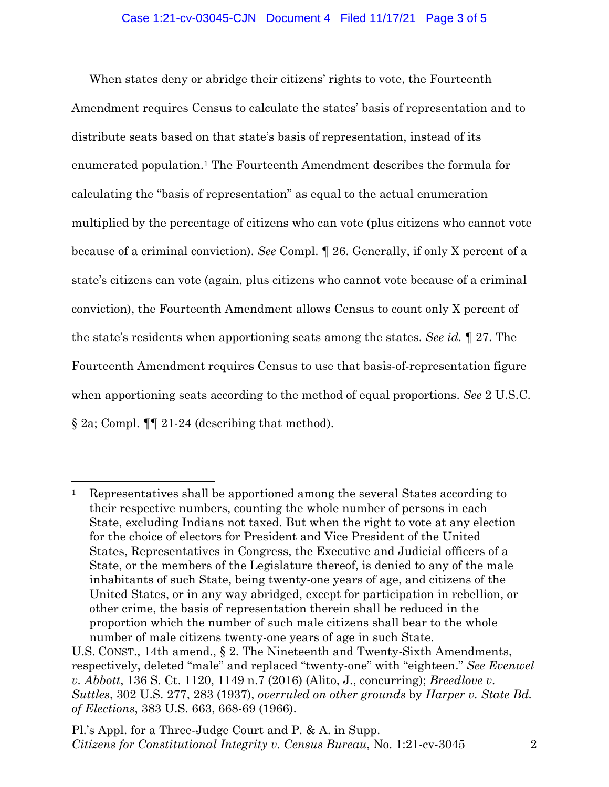When states deny or abridge their citizens' rights to vote, the Fourteenth Amendment requires Census to calculate the states' basis of representation and to distribute seats based on that state's basis of representation, instead of its enumerated population.1 The Fourteenth Amendment describes the formula for calculating the "basis of representation" as equal to the actual enumeration multiplied by the percentage of citizens who can vote (plus citizens who cannot vote because of a criminal conviction). *See* Compl. ¶ 26. Generally, if only X percent of a state's citizens can vote (again, plus citizens who cannot vote because of a criminal conviction), the Fourteenth Amendment allows Census to count only X percent of the state's residents when apportioning seats among the states. *See id.* ¶ 27. The Fourteenth Amendment requires Census to use that basis-of-representation figure when apportioning seats according to the method of equal proportions. *See* 2 U.S.C. § 2a; Compl. ¶¶ 21-24 (describing that method).

<sup>1</sup> Representatives shall be apportioned among the several States according to their respective numbers, counting the whole number of persons in each State, excluding Indians not taxed. But when the right to vote at any election for the choice of electors for President and Vice President of the United States, Representatives in Congress, the Executive and Judicial officers of a State, or the members of the Legislature thereof, is denied to any of the male inhabitants of such State, being twenty-one years of age, and citizens of the United States, or in any way abridged, except for participation in rebellion, or other crime, the basis of representation therein shall be reduced in the proportion which the number of such male citizens shall bear to the whole number of male citizens twenty-one years of age in such State.

U.S. CONST., 14th amend., § 2. The Nineteenth and Twenty-Sixth Amendments, respectively, deleted "male" and replaced "twenty-one" with "eighteen." *See Evenwel v. Abbott*, 136 S. Ct. 1120, 1149 n.7 (2016) (Alito, J., concurring); *Breedlove v. Suttles*, 302 U.S. 277, 283 (1937), *overruled on other grounds* by *Harper v. State Bd. of Elections*, 383 U.S. 663, 668-69 (1966).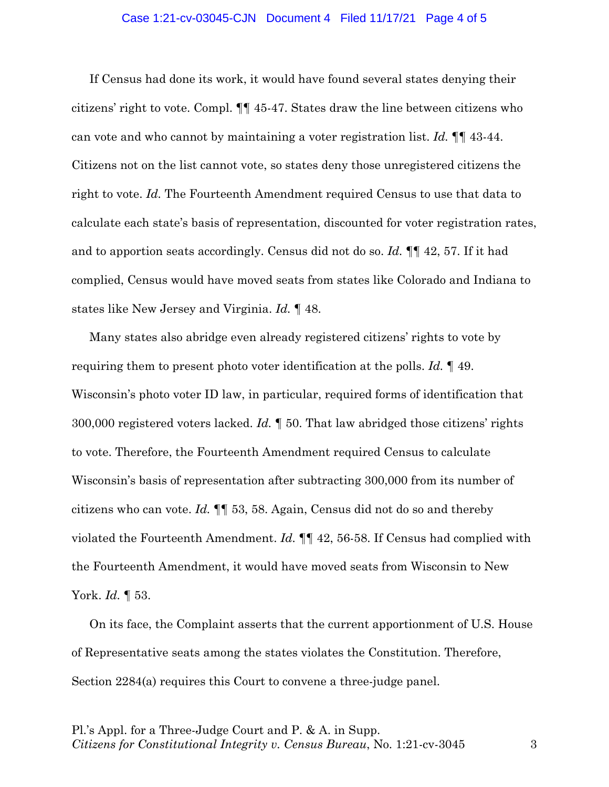## Case 1:21-cv-03045-CJN Document 4 Filed 11/17/21 Page 4 of 5

If Census had done its work, it would have found several states denying their citizens' right to vote. Compl. ¶¶ 45-47. States draw the line between citizens who can vote and who cannot by maintaining a voter registration list. *Id.* ¶¶ 43-44. Citizens not on the list cannot vote, so states deny those unregistered citizens the right to vote. *Id.* The Fourteenth Amendment required Census to use that data to calculate each state's basis of representation, discounted for voter registration rates, and to apportion seats accordingly. Census did not do so. *Id.* ¶¶ 42, 57. If it had complied, Census would have moved seats from states like Colorado and Indiana to states like New Jersey and Virginia. *Id.* ¶ 48.

Many states also abridge even already registered citizens' rights to vote by requiring them to present photo voter identification at the polls. *Id.* ¶ 49. Wisconsin's photo voter ID law, in particular, required forms of identification that 300,000 registered voters lacked. *Id.* ¶ 50. That law abridged those citizens' rights to vote. Therefore, the Fourteenth Amendment required Census to calculate Wisconsin's basis of representation after subtracting 300,000 from its number of citizens who can vote. *Id.* ¶¶ 53, 58. Again, Census did not do so and thereby violated the Fourteenth Amendment. *Id.* ¶¶ 42, 56-58. If Census had complied with the Fourteenth Amendment, it would have moved seats from Wisconsin to New York. *Id.* ¶ 53.

On its face, the Complaint asserts that the current apportionment of U.S. House of Representative seats among the states violates the Constitution. Therefore, Section 2284(a) requires this Court to convene a three-judge panel.